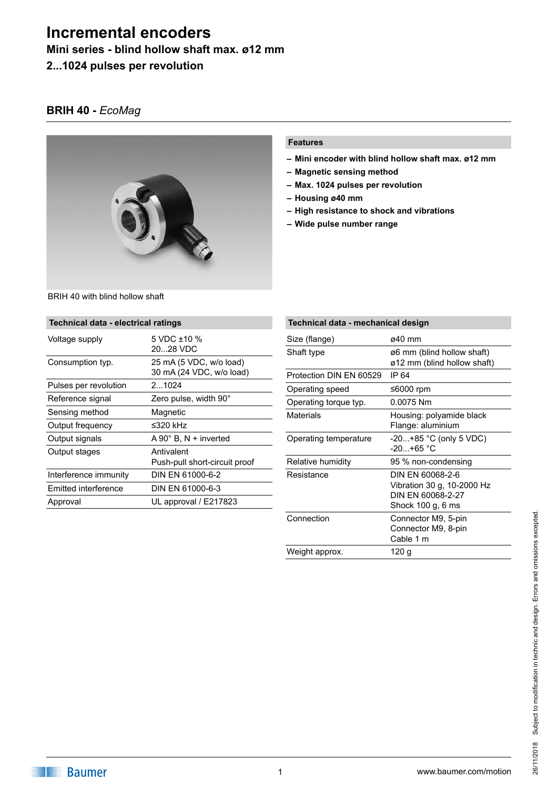**Mini series - blind hollow shaft max. ø12 mm**

**2...1024 pulses per revolution**

# **BRIH 40 -** *EcoMag*



## **Features**

- **– Mini encoder with blind hollow shaft max. ø12 mm**
- **– Magnetic sensing method**
- **– Max. 1024 pulses per revolution**
- **– Housing ø40 mm**
- **– High resistance to shock and vibrations**
- **– Wide pulse number range**

| Technical data - electrical ratings |                              |  |
|-------------------------------------|------------------------------|--|
| Voltage supply                      | 5 VDC $\pm$ 10 %<br>2028 VDC |  |

| Voltage supply        | 5 VDC +10 %                   |
|-----------------------|-------------------------------|
|                       | 2028 VDC                      |
| Consumption typ.      | 25 mA (5 VDC, w/o load)       |
|                       | 30 mA (24 VDC, w/o load)      |
| Pulses per revolution | 21024                         |
| Reference signal      | Zero pulse, width 90°         |
| Sensing method        | Magnetic                      |
| Output frequency      | ≤320 kHz                      |
| Output signals        | $A 90^\circ$ B, N + inverted  |
| Output stages         | Antivalent                    |
|                       | Push-pull short-circuit proof |
| Interference immunity | DIN EN 61000-6-2              |
| Emitted interference  | DIN EN 61000-6-3              |
| Approval              | UL approval / E217823         |

| Technical data - mechanical design |                                                                                          |  |
|------------------------------------|------------------------------------------------------------------------------------------|--|
| Size (flange)                      | ø40 mm                                                                                   |  |
| Shaft type                         | ø6 mm (blind hollow shaft)<br>ø12 mm (blind hollow shaft)                                |  |
| Protection DIN EN 60529            | IP 64                                                                                    |  |
| Operating speed                    | ≤6000 rpm                                                                                |  |
| Operating torque typ.              | 0.0075 Nm                                                                                |  |
| Materials                          | Housing: polyamide black<br>Flange: aluminium                                            |  |
| Operating temperature              | -20+85 °C (only 5 VDC)<br>$-20+65$ °C                                                    |  |
| Relative humidity                  | 95 % non-condensing                                                                      |  |
| Resistance                         | DIN EN 60068-2-6<br>Vibration 30 g, 10-2000 Hz<br>DIN FN 60068-2-27<br>Shock 100 g, 6 ms |  |
| Connection                         | Connector M9, 5-pin<br>Connector M9, 8-pin<br>Cable 1 m                                  |  |
| Weight approx.                     | 120 q                                                                                    |  |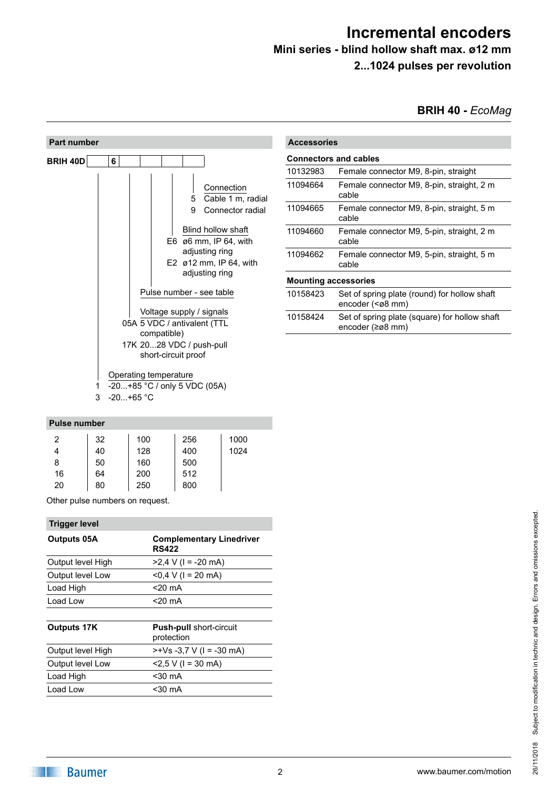# **Mini series - blind hollow shaft max. ø12 mm**

**2...1024 pulses per revolution**

**BRIH 40 -** *EcoMag*



#### **Pulse number**

| 2  | 32 | 100 | 256 | 1000 |
|----|----|-----|-----|------|
|    | 40 | 128 | 400 | 1024 |
| 8  | 50 | 160 | 500 |      |
| 16 | 64 | 200 | 512 |      |
| 20 | 80 | 250 | 800 |      |

Other pulse numbers on request.

| <b>Trigger level</b> |                                                 |
|----------------------|-------------------------------------------------|
| Outputs 05A          | <b>Complementary Linedriver</b><br><b>RS422</b> |
| Output level High    | $>2,4$ V (I = -20 mA)                           |
| Output level Low     | $<$ 0,4 V (I = 20 mA)                           |
| Load High            | $<$ 20 mA                                       |
| Load Low             | $<$ 20 mA                                       |
|                      |                                                 |
| <b>Outputs 17K</b>   | <b>Push-pull short-circuit</b><br>protection    |
| Output level High    | $>+Vs -3.7 V$ (1 = -30 mA)                      |
| Output level Low     | $<$ 2,5 V (I = 30 mA)                           |
| Load High            | $30$ mA                                         |
| Load Low             | <30 mA                                          |
|                      |                                                 |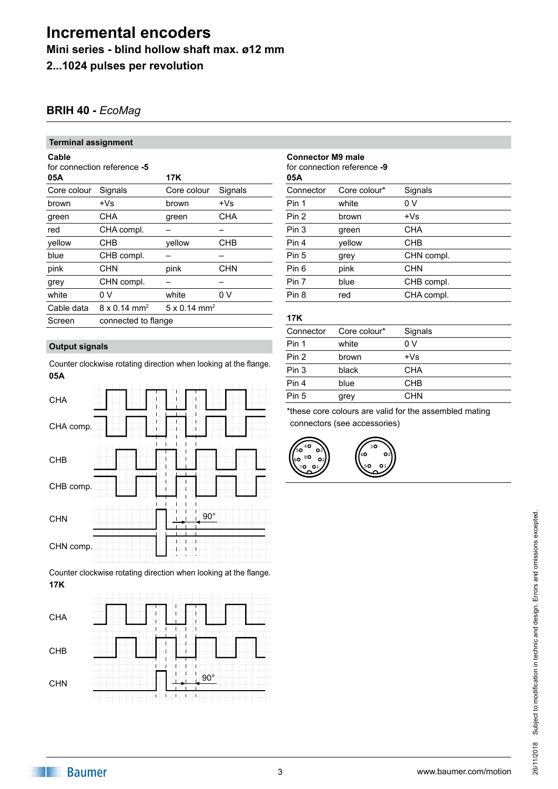**Mini series - blind hollow shaft max. ø12 mm**

**2...1024 pulses per revolution**

## **BRIH 40 -** *EcoMag*

### **Terminal assignment**

## for connection reference **-5**

| 05A         |                                 | <b>17K</b>                      |            |
|-------------|---------------------------------|---------------------------------|------------|
| Core colour | Signals                         | Core colour                     | Signals    |
| brown       | +Vs                             | brown                           | $+Vs$      |
| green       | <b>CHA</b>                      | green                           | CHA        |
| red         | CHA compl.                      |                                 |            |
| yellow      | CHB                             | yellow                          | CHB        |
| blue        | CHB compl.                      |                                 |            |
| pink        | CHN                             | pink                            | <b>CHN</b> |
| grey        | CHN compl.                      |                                 |            |
| white       | 0 V                             | white                           | 0 V        |
| Cable data  | $8 \times 0.14$ mm <sup>2</sup> | $5 \times 0.14$ mm <sup>2</sup> |            |
| Screen      | connected to flange             |                                 |            |
|             |                                 |                                 |            |

## **Output signals**

**05A** Counter clockwise rotating direction when looking at the flange.



**17K** Counter clockwise rotating direction when looking at the flange.

| <b>CHA</b> | a a sale a      |
|------------|-----------------|
| CHB        | ---             |
| <b>CHN</b> | $90^\circ$<br>٠ |

| <b>Connector M9 male</b><br>for connection reference -9<br>05A |              |            |  |
|----------------------------------------------------------------|--------------|------------|--|
| Connector                                                      | Core colour* | Signals    |  |
| Pin 1                                                          | white        | 0 V        |  |
| Pin 2                                                          | brown        | $+Vs$      |  |
| Pin 3                                                          | green        | <b>CHA</b> |  |
| Pin 4                                                          | vellow       | CHB        |  |
| Pin 5                                                          | grey         | CHN compl. |  |
| Pin 6                                                          | pink         | <b>CHN</b> |  |
| Pin 7                                                          | blue         | CHB compl. |  |
| Pin 8                                                          | red          | CHA compl. |  |
|                                                                |              |            |  |

#### **17K**

| 17K       |              |            |
|-----------|--------------|------------|
| Connector | Core colour* | Signals    |
| Pin 1     | white        | 0 V        |
| Pin 2     | brown        | $+Vs$      |
| Pin 3     | black        | <b>CHA</b> |
| Pin 4     | blue         | <b>CHB</b> |
| Pin 5     | grey         | <b>CHN</b> |
|           |              |            |

\*these core colours are valid for the assembled mating connectors (see accessories)